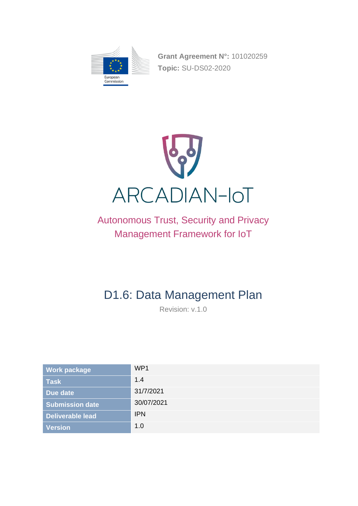

**Grant Agreement N°:** 101020259 **Topic:** SU-DS02-2020



# Autonomous Trust, Security and Privacy Management Framework for IoT

# D1.6: Data Management Plan

Revision: v.1.0

| <b>Work package</b>     | WP1        |
|-------------------------|------------|
| <b>Task</b>             | 1.4        |
| Due date                | 31/7/2021  |
| <b>Submission date</b>  | 30/07/2021 |
| <b>Deliverable lead</b> | <b>IPN</b> |
| Version <sup>\</sup>    | 1.0        |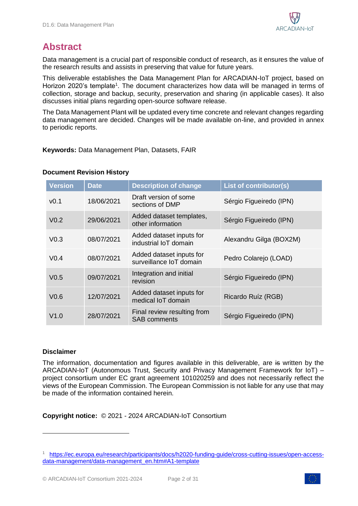

## **Abstract**

Data management is a crucial part of responsible conduct of research, as it ensures the value of the research results and assists in preserving that value for future years.

This deliverable establishes the Data Management Plan for ARCADIAN-IoT project, based on Horizon 2020's template<sup>1</sup>. The document characterizes how data will be managed in terms of collection, storage and backup, security, preservation and sharing (in applicable cases). It also discusses initial plans regarding open-source software release.

The Data Management Plant will be updated every time concrete and relevant changes regarding data management are decided. Changes will be made available on-line, and provided in annex to periodic reports.

**Keywords:** Data Management Plan, Datasets, FAIR

#### **Document Revision History**

| <b>Version</b>   | <b>Date</b> | <b>Description of change</b>                        | List of contributor(s)  |
|------------------|-------------|-----------------------------------------------------|-------------------------|
| V <sub>0.1</sub> | 18/06/2021  | Draft version of some<br>sections of DMP            | Sérgio Figueiredo (IPN) |
| V <sub>0.2</sub> | 29/06/2021  | Added dataset templates,<br>other information       | Sérgio Figueiredo (IPN) |
| V <sub>0.3</sub> | 08/07/2021  | Added dataset inputs for<br>industrial IoT domain   | Alexandru Gilga (BOX2M) |
| V <sub>0.4</sub> | 08/07/2021  | Added dataset inputs for<br>surveillance IoT domain | Pedro Colarejo (LOAD)   |
| V <sub>0.5</sub> | 09/07/2021  | Integration and initial<br>revision                 | Sérgio Figueiredo (IPN) |
| V <sub>0.6</sub> | 12/07/2021  | Added dataset inputs for<br>medical IoT domain      | Ricardo Ruíz (RGB)      |
| V1.0             | 28/07/2021  | Final review resulting from<br><b>SAB</b> comments  | Sérgio Figueiredo (IPN) |

#### **Disclaimer**

The information, documentation and figures available in this deliverable, are is written by the ARCADIAN-IoT (Autonomous Trust, Security and Privacy Management Framework for IoT) – project consortium under EC grant agreement 101020259 and does not necessarily reflect the views of the European Commission. The European Commission is not liable for any use that may be made of the information contained herein.

**Copyright notice:** © 2021 - 2024 ARCADIAN-IoT Consortium



<sup>1</sup> [https://ec.europa.eu/research/participants/docs/h2020-funding-guide/cross-cutting-issues/open-access](https://ec.europa.eu/research/participants/docs/h2020-funding-guide/cross-cutting-issues/open-access-data-management/data-management_en.htm#A1-template)[data-management/data-management\\_en.htm#A1-template](https://ec.europa.eu/research/participants/docs/h2020-funding-guide/cross-cutting-issues/open-access-data-management/data-management_en.htm#A1-template)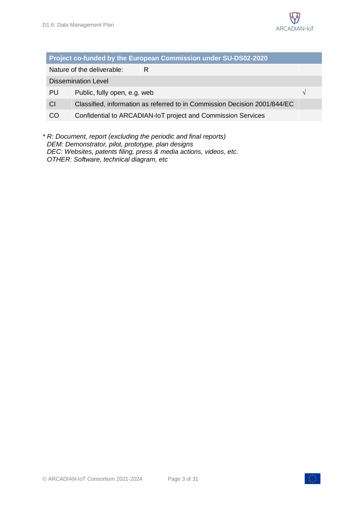

| <b>Project co-funded by the European Commission under SU-DS02-2020</b> |                                                                           |   |  |
|------------------------------------------------------------------------|---------------------------------------------------------------------------|---|--|
|                                                                        | Nature of the deliverable:                                                | R |  |
| <b>Dissemination Level</b>                                             |                                                                           |   |  |
| PU                                                                     | Public, fully open, e.g. web<br>$\mathcal{N}$                             |   |  |
| CI                                                                     | Classified, information as referred to in Commission Decision 2001/844/EC |   |  |
| CO                                                                     | Confidential to ARCADIAN-IoT project and Commission Services              |   |  |
|                                                                        |                                                                           |   |  |

*\* R: Document, report (excluding the periodic and final reports) DEM: Demonstrator, pilot, prototype, plan designs DEC: Websites, patents filing, press & media actions, videos, etc. OTHER: Software, technical diagram, etc*

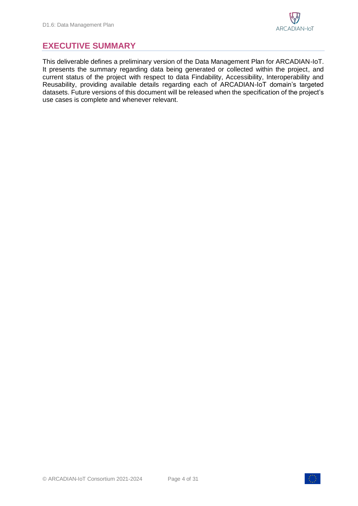### <span id="page-3-0"></span>**EXECUTIVE SUMMARY**

This deliverable defines a preliminary version of the Data Management Plan for ARCADIAN-IoT. It presents the summary regarding data being generated or collected within the project, and current status of the project with respect to data Findability, Accessibility, Interoperability and Reusability, providing available details regarding each of ARCADIAN-IoT domain's targeted datasets. Future versions of this document will be released when the specification of the project's use cases is complete and whenever relevant.

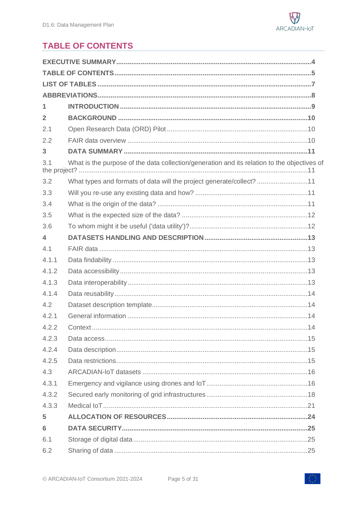

## <span id="page-4-0"></span>**TABLE OF CONTENTS**

| $\overline{2}$          |                                                                                             |
|-------------------------|---------------------------------------------------------------------------------------------|
| 2.1                     |                                                                                             |
| 2.2                     |                                                                                             |
| 3                       |                                                                                             |
| 3.1                     | What is the purpose of the data collection/generation and its relation to the objectives of |
| 3.2                     | What types and formats of data will the project generate/collect? 11                        |
| 3.3                     |                                                                                             |
| 3.4                     |                                                                                             |
| 3.5                     |                                                                                             |
| 3.6                     |                                                                                             |
| $\overline{\mathbf{A}}$ |                                                                                             |
| 4.1                     |                                                                                             |
| 4.1.1                   |                                                                                             |
| 4.1.2                   |                                                                                             |
| 4.1.3                   |                                                                                             |
| 4.1.4                   |                                                                                             |
| 4.2                     |                                                                                             |
| 4.2.1                   |                                                                                             |
| 4.2.2                   |                                                                                             |
| 4.2.3                   |                                                                                             |
| 4.2.4                   |                                                                                             |
| 4.2.5                   |                                                                                             |
| 4.3                     |                                                                                             |
| 4.3.1                   |                                                                                             |
| 4.3.2                   |                                                                                             |
| 4.3.3                   |                                                                                             |
| 5                       |                                                                                             |
| 6                       |                                                                                             |
| 6.1                     |                                                                                             |
| 6.2                     |                                                                                             |

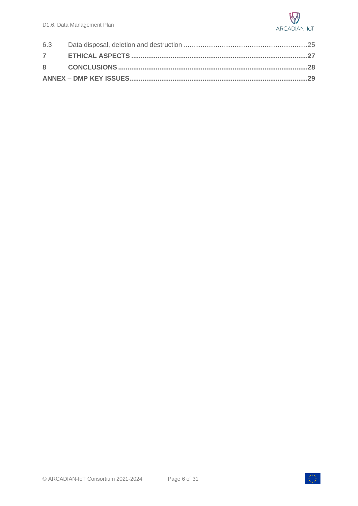

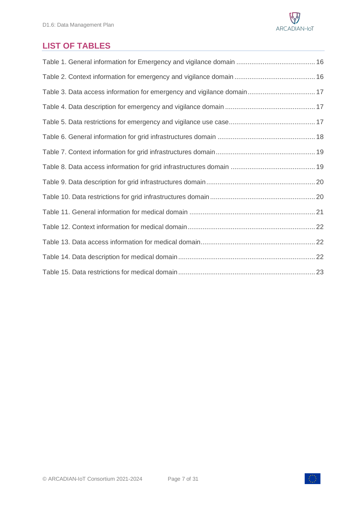

## <span id="page-6-0"></span>**LIST OF TABLES**

| Table 3. Data access information for emergency and vigilance domain 17 |
|------------------------------------------------------------------------|
|                                                                        |
|                                                                        |
|                                                                        |
|                                                                        |
|                                                                        |
|                                                                        |
|                                                                        |
|                                                                        |
|                                                                        |
|                                                                        |
|                                                                        |
|                                                                        |

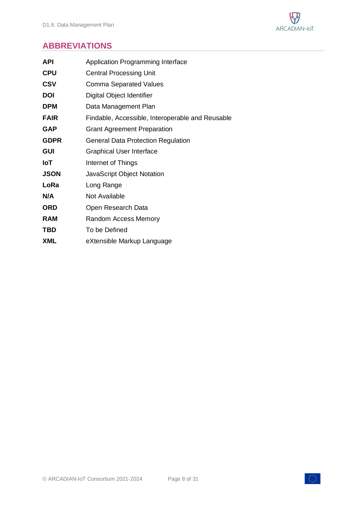

## <span id="page-7-0"></span>**ABBREVIATIONS**

| Application Programming Interface                |
|--------------------------------------------------|
| <b>Central Processing Unit</b>                   |
| Comma Separated Values                           |
| Digital Object Identifier                        |
| Data Management Plan                             |
| Findable, Accessible, Interoperable and Reusable |
| <b>Grant Agreement Preparation</b>               |
| <b>General Data Protection Regulation</b>        |
| <b>Graphical User Interface</b>                  |
| Internet of Things                               |
| <b>JavaScript Object Notation</b>                |
| Long Range                                       |
| Not Available                                    |
| Open Research Data                               |
| Random Access Memory                             |
| To be Defined                                    |
| eXtensible Markup Language                       |
|                                                  |

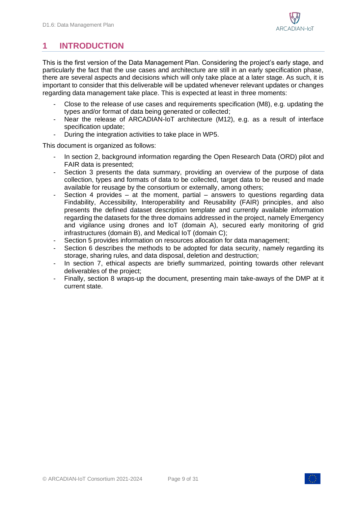## <span id="page-8-0"></span>**1 INTRODUCTION**

This is the first version of the Data Management Plan. Considering the project's early stage, and particularly the fact that the use cases and architecture are still in an early specification phase, there are several aspects and decisions which will only take place at a later stage. As such, it is important to consider that this deliverable will be updated whenever relevant updates or changes regarding data management take place. This is expected at least in three moments:

- Close to the release of use cases and requirements specification (M8), e.g. updating the types and/or format of data being generated or collected;
- Near the release of ARCADIAN-IoT architecture (M12), e.g. as a result of interface specification update;
- During the integration activities to take place in WP5.

This document is organized as follows:

- In section 2, background information regarding the Open Research Data (ORD) pilot and FAIR data is presented;
- Section 3 presents the data summary, providing an overview of the purpose of data collection, types and formats of data to be collected, target data to be reused and made available for reusage by the consortium or externally, among others;
- Section 4 provides at the moment, partial answers to questions regarding data Findability, Accessibility, Interoperability and Reusability (FAIR) principles, and also presents the defined dataset description template and currently available information regarding the datasets for the three domains addressed in the project, namely Emergency and vigilance using drones and IoT (domain A), secured early monitoring of grid infrastructures (domain B), and Medical IoT (domain C);
- Section 5 provides information on resources allocation for data management;
- Section 6 describes the methods to be adopted for data security, namely regarding its storage, sharing rules, and data disposal, deletion and destruction;
- In section 7, ethical aspects are briefly summarized, pointing towards other relevant deliverables of the project;
- Finally, section 8 wraps-up the document, presenting main take-aways of the DMP at it current state.

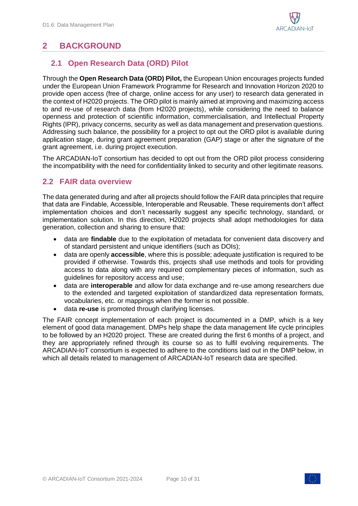

## <span id="page-9-0"></span>**2 BACKGROUND**

### <span id="page-9-1"></span>**2.1 Open Research Data (ORD) Pilot**

Through the **Open Research Data (ORD) Pilot,** the European Union encourages projects funded under the European Union Framework Programme for Research and Innovation Horizon 2020 to provide open access (free of charge, online access for any user) to research data generated in the context of H2020 projects. The ORD pilot is mainly aimed at improving and maximizing access to and re-use of research data (from H2020 projects), while considering the need to balance openness and protection of scientific information, commercialisation, and Intellectual Property Rights (IPR), privacy concerns, security as well as data management and preservation questions. Addressing such balance, the possibility for a project to opt out the ORD pilot is available during application stage, during grant agreement preparation (GAP) stage or after the signature of the grant agreement, i.e. during project execution.

The ARCADIAN-IoT consortium has decided to opt out from the ORD pilot process considering the incompatibility with the need for confidentiality linked to security and other legitimate reasons.

### <span id="page-9-2"></span>**2.2 FAIR data overview**

The data generated during and after all projects should follow the FAIR data principles that require that data are Findable, Accessible, Interoperable and Reusable. These requirements don't affect implementation choices and don't necessarily suggest any specific technology, standard, or implementation solution. In this direction, H2020 projects shall adopt methodologies for data generation, collection and sharing to ensure that:

- data are **findable** due to the exploitation of metadata for convenient data discovery and of standard persistent and unique identifiers (such as DOIs);
- data are openly **accessible**, where this is possible; adequate justification is required to be provided if otherwise. Towards this, projects shall use methods and tools for providing access to data along with any required complementary pieces of information, such as guidelines for repository access and use;
- data are **interoperable** and allow for data exchange and re-use among researchers due to the extended and targeted exploitation of standardized data representation formats, vocabularies, etc. or mappings when the former is not possible.
- data **re-use** is promoted through clarifying licenses.

The FAIR concept implementation of each project is documented in a DMP, which is a key element of good data management. DMPs help shape the data management life cycle principles to be followed by an H2020 project. These are created during the first 6 months of a project, and they are appropriately refined through its course so as to fulfil evolving requirements. The ARCADIAN-IoT consortium is expected to adhere to the conditions laid out in the DMP below, in which all details related to management of ARCADIAN-IoT research data are specified.

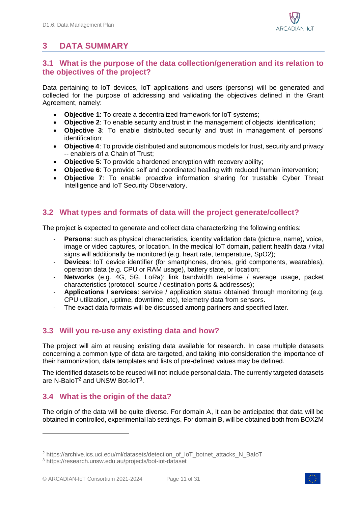## <span id="page-10-0"></span>**3 DATA SUMMARY**

### <span id="page-10-1"></span>**3.1 What is the purpose of the data collection/generation and its relation to the objectives of the project?**

Data pertaining to IoT devices, IoT applications and users (persons) will be generated and collected for the purpose of addressing and validating the objectives defined in the Grant Agreement, namely:

- **Objective 1**: To create a decentralized framework for IoT systems;
- **Objective 2**: To enable security and trust in the management of objects' identification;
- **Objective 3**: To enable distributed security and trust in management of persons' identification;
- **Objective 4**: To provide distributed and autonomous models for trust, security and privacy -- enablers of a Chain of Trust;
- **Objective 5**: To provide a hardened encryption with recovery ability;
- **Objective 6**: To provide self and coordinated healing with reduced human intervention;
- **Objective 7**: To enable proactive information sharing for trustable Cyber Threat Intelligence and IoT Security Observatory.

### <span id="page-10-2"></span>**3.2 What types and formats of data will the project generate/collect?**

The project is expected to generate and collect data characterizing the following entities:

- **Persons**: such as physical characteristics, identity validation data (picture, name), voice, image or video captures, or location. In the medical IoT domain, patient health data / vital signs will additionally be monitored (e.g. heart rate, temperature, SpO2);
- **Devices:** IoT device identifier (for smartphones, drones, grid components, wearables), operation data (e.g. CPU or RAM usage), battery state, or location;
- **Networks** (e.g. 4G, 5G, LoRa): link bandwidth real-time / average usage, packet characteristics (protocol, source / destination ports & addresses);
- **Applications / services**: service / application status obtained through monitoring (e.g. CPU utilization, uptime, downtime, etc), telemetry data from sensors.
- The exact data formats will be discussed among partners and specified later.

### <span id="page-10-3"></span>**3.3 Will you re-use any existing data and how?**

The project will aim at reusing existing data available for research. In case multiple datasets concerning a common type of data are targeted, and taking into consideration the importance of their harmonization, data templates and lists of pre-defined values may be defined.

The identified datasets to be reused will not include personal data. The currently targeted datasets are N-BaIoT $^2$  and UNSW Bot-IoT $^3$ .

### <span id="page-10-4"></span>**3.4 What is the origin of the data?**

The origin of the data will be quite diverse. For domain A, it can be anticipated that data will be obtained in controlled, experimental lab settings. For domain B, will be obtained both from BOX2M



<sup>&</sup>lt;sup>2</sup> https://archive.ics.uci.edu/ml/datasets/detection\_of\_IoT\_botnet\_attacks\_N\_BaIoT

<sup>3</sup> https://research.unsw.edu.au/projects/bot-iot-dataset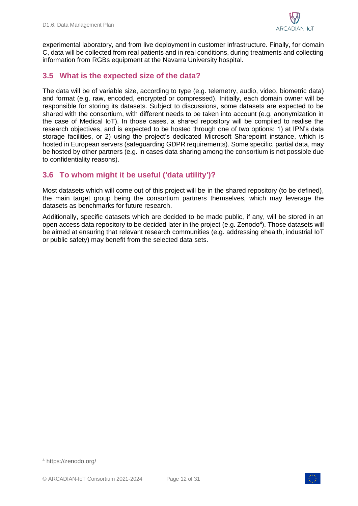

experimental laboratory, and from live deployment in customer infrastructure. Finally, for domain C, data will be collected from real patients and in real conditions, during treatments and collecting information from RGBs equipment at the Navarra University hospital.

### <span id="page-11-0"></span>**3.5 What is the expected size of the data?**

The data will be of variable size, according to type (e.g. telemetry, audio, video, biometric data) and format (e.g. raw, encoded, encrypted or compressed). Initially, each domain owner will be responsible for storing its datasets. Subject to discussions, some datasets are expected to be shared with the consortium, with different needs to be taken into account (e.g. anonymization in the case of Medical IoT). In those cases, a shared repository will be compiled to realise the research objectives, and is expected to be hosted through one of two options: 1) at IPN's data storage facilities, or 2) using the project's dedicated Microsoft Sharepoint instance, which is hosted in European servers (safeguarding GDPR requirements). Some specific, partial data, may be hosted by other partners (e.g. in cases data sharing among the consortium is not possible due to confidentiality reasons).

### <span id="page-11-1"></span>**3.6 To whom might it be useful ('data utility')?**

Most datasets which will come out of this project will be in the shared repository (to be defined), the main target group being the consortium partners themselves, which may leverage the datasets as benchmarks for future research.

Additionally, specific datasets which are decided to be made public, if any, will be stored in an open access data repository to be decided later in the project (e.g. Zenodo<sup>4</sup>). Those datasets will be aimed at ensuring that relevant research communities (e.g. addressing ehealth, industrial IoT or public safety) may benefit from the selected data sets.





<sup>4</sup> https://zenodo.org/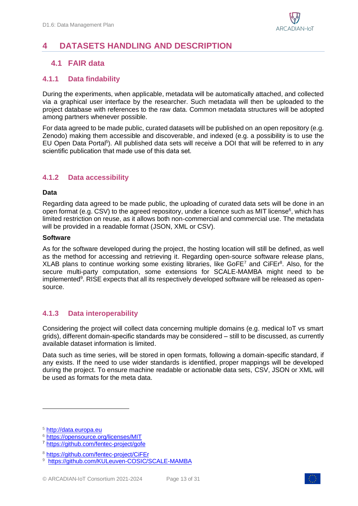

## <span id="page-12-0"></span>**4 DATASETS HANDLING AND DESCRIPTION**

### <span id="page-12-1"></span>**4.1 FAIR data**

#### <span id="page-12-2"></span>**4.1.1 Data findability**

During the experiments, when applicable, metadata will be automatically attached, and collected via a graphical user interface by the researcher. Such metadata will then be uploaded to the project database with references to the raw data. Common metadata structures will be adopted among partners whenever possible.

For data agreed to be made public, curated datasets will be published on an open repository (e.g. Zenodo) making them accessible and discoverable, and indexed (e.g. a possibility is to use the EU Open Data Portal<sup>5</sup>). All published data sets will receive a DOI that will be referred to in any scientific publication that made use of this data set.

#### <span id="page-12-3"></span>**4.1.2 Data accessibility**

#### **Data**

Regarding data agreed to be made public, the uploading of curated data sets will be done in an open format (e.g. CSV) to the agreed repository, under a licence such as MIT license<sup>6</sup>, which has limited restriction on reuse, as it allows both non-commercial and commercial use. The metadata will be provided in a readable format (JSON, XML or CSV).

#### **Software**

As for the software developed during the project, the hosting location will still be defined, as well as the method for accessing and retrieving it. Regarding open-source software release plans, XLAB plans to continue working some existing libraries, like GoFE<sup>7</sup> and CiFE $r^8$ . Also, for the secure multi-party computation, some extensions for SCALE-MAMBA might need to be implemented<sup>9</sup>. RISE expects that all its respectively developed software will be released as opensource.

#### <span id="page-12-4"></span>**4.1.3 Data interoperability**

Considering the project will collect data concerning multiple domains (e.g. medical IoT vs smart grids), different domain-specific standards may be considered – still to be discussed, as currently available dataset information is limited.

Data such as time series, will be stored in open formats, following a domain-specific standard, if any exists. If the need to use wider standards is identified, proper mappings will be developed during the project. To ensure machine readable or actionable data sets, CSV, JSON or XML will be used as formats for the meta data.



<sup>5</sup> http://data.europa.eu

<sup>6</sup> <https://opensource.org/licenses/MIT>

<sup>7</sup> <https://github.com/fentec-project/gofe>

<sup>8</sup> <https://github.com/fentec-project/CiFEr>

<sup>9</sup> <https://github.com/KULeuven-COSIC/SCALE-MAMBA>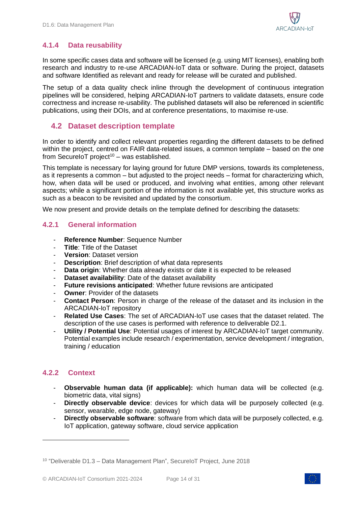### <span id="page-13-0"></span>**4.1.4 Data reusability**

In some specific cases data and software will be licensed (e.g. using MIT licenses), enabling both research and industry to re-use ARCADIAN-IoT data or software. During the project, datasets and software Identified as relevant and ready for release will be curated and published.

The setup of a data quality check inline through the development of continuous integration pipelines will be considered, helping ARCADIAN-IoT partners to validate datasets, ensure code correctness and increase re-usability. The published datasets will also be referenced in scientific publications, using their DOIs, and at conference presentations, to maximise re-use.

### <span id="page-13-1"></span>**4.2 Dataset description template**

In order to identify and collect relevant properties regarding the different datasets to be defined within the project, centred on FAIR data-related issues, a common template – based on the one from SecureIoT project<sup>10</sup> – was established.

This template is necessary for laying ground for future DMP versions, towards its completeness, as it represents a common – but adjusted to the project needs – format for characterizing which, how, when data will be used or produced, and involving what entities, among other relevant aspects; while a significant portion of the information is not available yet, this structure works as such as a beacon to be revisited and updated by the consortium.

We now present and provide details on the template defined for describing the datasets:

### <span id="page-13-2"></span>**4.2.1 General information**

- **Reference Number**: Sequence Number
- **Title**: Title of the Dataset
- **Version**: Dataset version
- **Description:** Brief description of what data represents
- **Data origin**: Whether data already exists or date it is expected to be released
- **Dataset availability:** Date of the dataset availability
- **Future revisions anticipated:** Whether future revisions are anticipated
- **Owner: Provider of the datasets**
- **Contact Person**: Person in charge of the release of the dataset and its inclusion in the ARCADIAN-IoT repository
- **Related Use Cases**: The set of ARCADIAN-IoT use cases that the dataset related. The description of the use cases is performed with reference to deliverable D2.1.
- **Utility / Potential Use**: Potential usages of interest by ARCADIAN-IoT target community. Potential examples include research / experimentation, service development / integration, training / education

### <span id="page-13-3"></span>**4.2.2 Context**

- **Observable human data (if applicable):** which human data will be collected (e.g. biometric data, vital signs)
- **Directly observable device**: devices for which data will be purposely collected (e.g. sensor, wearable, edge node, gateway)
- **Directly observable software**: software from which data will be purposely collected, e.g. IoT application, gateway software, cloud service application



<sup>&</sup>lt;sup>10</sup> "Deliverable D1.3 - Data Management Plan", SecureIoT Project, June 2018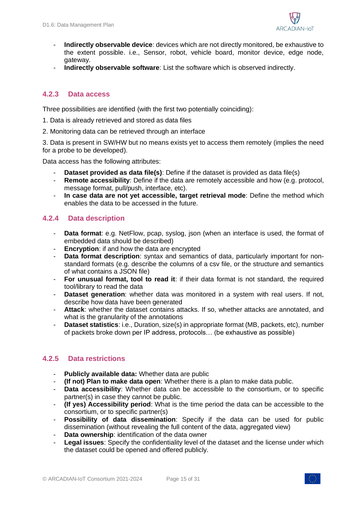

- **Indirectly observable device**: devices which are not directly monitored, be exhaustive to the extent possible. i.e., Sensor, robot, vehicle board, monitor device, edge node, gateway.
- **Indirectly observable software**: List the software which is observed indirectly.

### <span id="page-14-0"></span>**4.2.3 Data access**

Three possibilities are identified (with the first two potentially coinciding):

- 1. Data is already retrieved and stored as data files
- 2. Monitoring data can be retrieved through an interface

3. Data is present in SW/HW but no means exists yet to access them remotely (implies the need for a probe to be developed).

Data access has the following attributes:

- **Dataset provided as data file(s)**: Define if the dataset is provided as data file(s)
- **Remote accessibility**: Define if the data are remotely accessible and how (e.g. protocol, message format, pull/push, interface, etc).
- **In case data are not yet accessible, target retrieval mode**: Define the method which enables the data to be accessed in the future.

### <span id="page-14-1"></span>**4.2.4 Data description**

- **Data format**: e.g. NetFlow, pcap, syslog, json (when an interface is used, the format of embedded data should be described)
- **Encryption**: if and how the data are encrypted
- **Data format description**: syntax and semantics of data, particularly important for nonstandard formats (e.g. describe the columns of a csv file, or the structure and semantics of what contains a JSON file)
- **For unusual format, tool to read it**: if their data format is not standard, the required tool/library to read the data
- **Dataset generation**: whether data was monitored in a system with real users. If not, describe how data have been generated
- Attack: whether the dataset contains attacks. If so, whether attacks are annotated, and what is the granularity of the annotations
- **Dataset statistics**: i.e., Duration, size(s) in appropriate format (MB, packets, etc), number of packets broke down per IP address, protocols… (be exhaustive as possible)

### <span id="page-14-2"></span>**4.2.5 Data restrictions**

- **Publicly available data:** Whether data are public
- **(If not) Plan to make data open**: Whether there is a plan to make data public.
- **Data accessibility**: Whether data can be accessible to the consortium, or to specific partner(s) in case they cannot be public.
- **(If yes) Accessibility period**: What is the time period the data can be accessible to the consortium, or to specific partner(s)
- **Possibility of data dissemination**: Specify if the data can be used for public dissemination (without revealing the full content of the data, aggregated view)
- **Data ownership:** identification of the data owner
- Legal issues: Specify the confidentiality level of the dataset and the license under which the dataset could be opened and offered publicly.

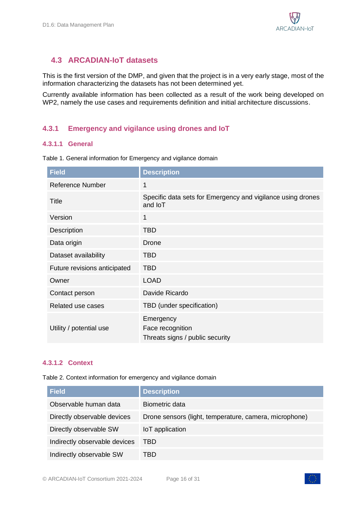### <span id="page-15-0"></span>**4.3 ARCADIAN-IoT datasets**

This is the first version of the DMP, and given that the project is in a very early stage, most of the information characterizing the datasets has not been determined yet.

Currently available information has been collected as a result of the work being developed on WP2, namely the use cases and requirements definition and initial architecture discussions.

### <span id="page-15-1"></span>**4.3.1 Emergency and vigilance using drones and IoT**

#### **4.3.1.1 General**

| <b>Field</b>                 | <b>Description</b>                                                            |
|------------------------------|-------------------------------------------------------------------------------|
| Reference Number             | 1                                                                             |
| Title                        | Specific data sets for Emergency and vigilance using drones<br>and <b>loT</b> |
| Version                      | 1                                                                             |
| Description                  | <b>TBD</b>                                                                    |
| Data origin                  | Drone                                                                         |
| Dataset availability         | TBD                                                                           |
| Future revisions anticipated | <b>TBD</b>                                                                    |
| Owner                        | <b>LOAD</b>                                                                   |
| Contact person               | Davide Ricardo                                                                |
| Related use cases            | TBD (under specification)                                                     |
| Utility / potential use      | Emergency<br>Face recognition<br>Threats signs / public security              |

<span id="page-15-2"></span>Table 1. General information for Emergency and vigilance domain

#### **4.3.1.2 Context**

<span id="page-15-3"></span>Table 2. Context information for emergency and vigilance domain

| <b>Field</b>                  | <b>Description</b>                                     |
|-------------------------------|--------------------------------------------------------|
| Observable human data         | Biometric data                                         |
| Directly observable devices   | Drone sensors (light, temperature, camera, microphone) |
| Directly observable SW        | IoT application                                        |
| Indirectly observable devices | <b>TBD</b>                                             |
| Indirectly observable SW      | TBD                                                    |

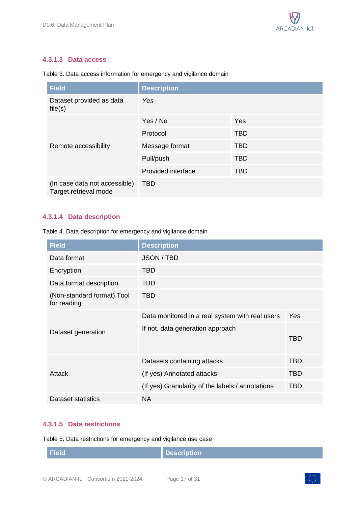#### **4.3.1.3 Data access**

| <b>Field</b>                                           | <b>Description</b> |            |
|--------------------------------------------------------|--------------------|------------|
| Dataset provided as data<br>file(s)                    | Yes                |            |
|                                                        | Yes / No           | Yes        |
|                                                        | Protocol           | <b>TBD</b> |
| Remote accessibility                                   | Message format     | <b>TBD</b> |
|                                                        | Pull/push          | <b>TBD</b> |
|                                                        | Provided interface | <b>TBD</b> |
| (In case data not accessible)<br>Target retrieval mode | <b>TBD</b>         |            |

#### <span id="page-16-0"></span>Table 3. Data access information for emergency and vigilance domain

### **4.3.1.4 Data description**

<span id="page-16-1"></span>Table 4. Data description for emergency and vigilance domain

| <b>Field</b>                              | <b>Description</b>                               |            |
|-------------------------------------------|--------------------------------------------------|------------|
| Data format                               | <b>JSON / TBD</b>                                |            |
| Encryption                                | TBD                                              |            |
| Data format description                   | TBD                                              |            |
| (Non-standard format) Tool<br>for reading | <b>TBD</b>                                       |            |
| Dataset generation                        | Data monitored in a real system with real users  | Yes        |
|                                           | If not, data generation approach                 | TBD        |
|                                           | Datasets containing attacks                      | <b>TBD</b> |
| Attack                                    | (If yes) Annotated attacks                       | TBD        |
|                                           | (If yes) Granularity of the labels / annotations | <b>TBD</b> |
| Dataset statistics                        | <b>NA</b>                                        |            |

#### **4.3.1.5 Data restrictions**

<span id="page-16-2"></span>Table 5. Data restrictions for emergency and vigilance use case

| <b>Field</b> | Description |
|--------------|-------------|
|              |             |

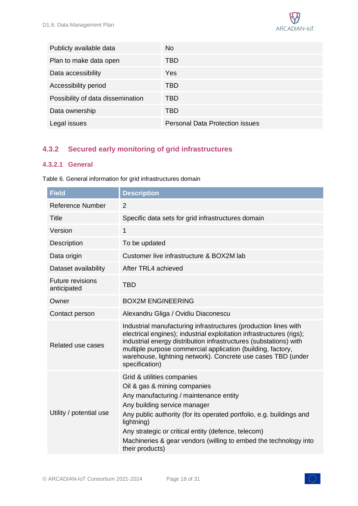

| Publicly available data           | No.                                    |
|-----------------------------------|----------------------------------------|
| Plan to make data open            | TBD                                    |
| Data accessibility                | Yes                                    |
| Accessibility period              | TBD                                    |
| Possibility of data dissemination | TBD                                    |
| Data ownership                    | TBD                                    |
| Legal issues                      | <b>Personal Data Protection issues</b> |

### <span id="page-17-0"></span>**4.3.2 Secured early monitoring of grid infrastructures**

#### **4.3.2.1 General**

| <b>Field</b>                           | <b>Description</b>                                                                                                                                                                                                                                                                                                                                                       |
|----------------------------------------|--------------------------------------------------------------------------------------------------------------------------------------------------------------------------------------------------------------------------------------------------------------------------------------------------------------------------------------------------------------------------|
| <b>Reference Number</b>                | $\overline{2}$                                                                                                                                                                                                                                                                                                                                                           |
| <b>Title</b>                           | Specific data sets for grid infrastructures domain                                                                                                                                                                                                                                                                                                                       |
| Version                                | $\mathbf{1}$                                                                                                                                                                                                                                                                                                                                                             |
| <b>Description</b>                     | To be updated                                                                                                                                                                                                                                                                                                                                                            |
| Data origin                            | Customer live infrastructure & BOX2M lab                                                                                                                                                                                                                                                                                                                                 |
| Dataset availability                   | After TRL4 achieved                                                                                                                                                                                                                                                                                                                                                      |
| <b>Future revisions</b><br>anticipated | <b>TBD</b>                                                                                                                                                                                                                                                                                                                                                               |
| Owner                                  | <b>BOX2M ENGINEERING</b>                                                                                                                                                                                                                                                                                                                                                 |
| Contact person                         | Alexandru Gliga / Ovidiu Diaconescu                                                                                                                                                                                                                                                                                                                                      |
| Related use cases                      | Industrial manufacturing infrastructures (production lines with<br>electrical engines); industrial exploitation infrastructures (rigs);<br>industrial energy distribution infrastructures (substations) with<br>multiple purpose commercial application (building, factory,<br>warehouse, lightning network). Concrete use cases TBD (under<br>specification)            |
| Utility / potential use                | Grid & utilities companies<br>Oil & gas & mining companies<br>Any manufacturing / maintenance entity<br>Any building service manager<br>Any public authority (for its operated portfolio, e.g. buildings and<br>lightning)<br>Any strategic or critical entity (defence, telecom)<br>Machineries & gear vendors (willing to embed the technology into<br>their products) |

<span id="page-17-1"></span>Table 6. General information for grid infrastructures domain

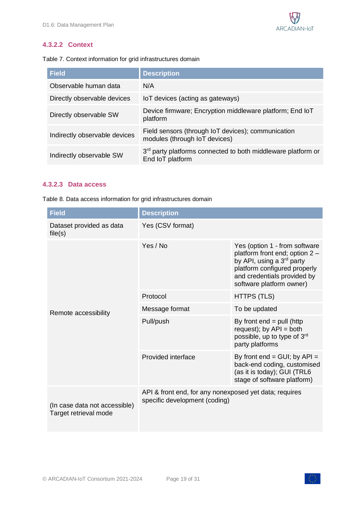

#### **4.3.2.2 Context**

<span id="page-18-0"></span>Table 7. Context information for grid infrastructures domain

| <b>Field</b>                  | <b>Description</b>                                                                           |
|-------------------------------|----------------------------------------------------------------------------------------------|
| Observable human data         | N/A                                                                                          |
| Directly observable devices   | IoT devices (acting as gateways)                                                             |
| Directly observable SW        | Device firmware; Encryption middleware platform; End IoT<br>platform                         |
| Indirectly observable devices | Field sensors (through IoT devices); communication<br>modules (through IoT devices)          |
| Indirectly observable SW      | 3 <sup>rd</sup> party platforms connected to both middleware platform or<br>End IoT platform |

#### **4.3.2.3 Data access**

<span id="page-18-1"></span>Table 8. Data access information for grid infrastructures domain

| <b>Field</b>                                           | <b>Description</b>                                                                      |                                                                                                                                                                                                     |  |
|--------------------------------------------------------|-----------------------------------------------------------------------------------------|-----------------------------------------------------------------------------------------------------------------------------------------------------------------------------------------------------|--|
| Dataset provided as data<br>file(s)                    | Yes (CSV format)                                                                        |                                                                                                                                                                                                     |  |
|                                                        | Yes / No                                                                                | Yes (option 1 - from software<br>platform front end; option 2 -<br>by API, using a 3 <sup>rd</sup> party<br>platform configured properly<br>and credentials provided by<br>software platform owner) |  |
|                                                        | Protocol                                                                                | <b>HTTPS (TLS)</b>                                                                                                                                                                                  |  |
| Remote accessibility                                   | Message format                                                                          | To be updated                                                                                                                                                                                       |  |
|                                                        | Pull/push                                                                               | By front $end = pull$ (http<br>request); by $API = both$<br>possible, up to type of 3rd<br>party platforms                                                                                          |  |
|                                                        | Provided interface                                                                      | By front $end = GUI$ ; by $API =$<br>back-end coding, customised<br>(as it is today); GUI (TRL6<br>stage of software platform)                                                                      |  |
| (In case data not accessible)<br>Target retrieval mode | API & front end, for any nonexposed yet data; requires<br>specific development (coding) |                                                                                                                                                                                                     |  |

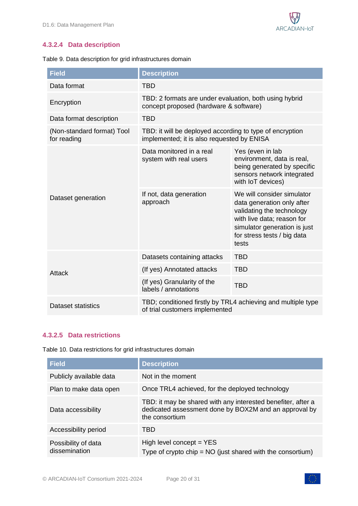### **4.3.2.4 Data description**

<span id="page-19-0"></span>

|  |  | Table 9. Data description for grid infrastructures domain |  |
|--|--|-----------------------------------------------------------|--|
|  |  |                                                           |  |

| <b>Field</b>                              | <b>Description</b>                                                                                     |                                                                                                                                                                                             |  |
|-------------------------------------------|--------------------------------------------------------------------------------------------------------|---------------------------------------------------------------------------------------------------------------------------------------------------------------------------------------------|--|
| Data format                               | <b>TBD</b>                                                                                             |                                                                                                                                                                                             |  |
| Encryption                                | TBD: 2 formats are under evaluation, both using hybrid<br>concept proposed (hardware & software)       |                                                                                                                                                                                             |  |
| Data format description                   | <b>TBD</b>                                                                                             |                                                                                                                                                                                             |  |
| (Non-standard format) Tool<br>for reading | TBD: it will be deployed according to type of encryption<br>implemented; it is also requested by ENISA |                                                                                                                                                                                             |  |
| Dataset generation                        | Data monitored in a real<br>system with real users                                                     | Yes (even in lab<br>environment, data is real,<br>being generated by specific<br>sensors network integrated<br>with IoT devices)                                                            |  |
|                                           | If not, data generation<br>approach                                                                    | We will consider simulator<br>data generation only after<br>validating the technology<br>with live data; reason for<br>simulator generation is just<br>for stress tests / big data<br>tests |  |
| <b>Attack</b>                             | Datasets containing attacks                                                                            | <b>TBD</b>                                                                                                                                                                                  |  |
|                                           | (If yes) Annotated attacks                                                                             | <b>TBD</b>                                                                                                                                                                                  |  |
|                                           | (If yes) Granularity of the<br>labels / annotations                                                    | <b>TBD</b>                                                                                                                                                                                  |  |
| Dataset statistics                        | TBD; conditioned firstly by TRL4 achieving and multiple type<br>of trial customers implemented         |                                                                                                                                                                                             |  |

#### **4.3.2.5 Data restrictions**

<span id="page-19-1"></span>Table 10. Data restrictions for grid infrastructures domain

| <b>Field</b>                         | <b>Description</b>                                                                                                                      |
|--------------------------------------|-----------------------------------------------------------------------------------------------------------------------------------------|
| Publicly available data              | Not in the moment                                                                                                                       |
| Plan to make data open               | Once TRL4 achieved, for the deployed technology                                                                                         |
| Data accessibility                   | TBD: it may be shared with any interested benefiter, after a<br>dedicated assessment done by BOX2M and an approval by<br>the consortium |
| Accessibility period                 | TBD                                                                                                                                     |
| Possibility of data<br>dissemination | High level concept $=$ YES<br>Type of crypto chip = $NO$ (just shared with the consortium)                                              |

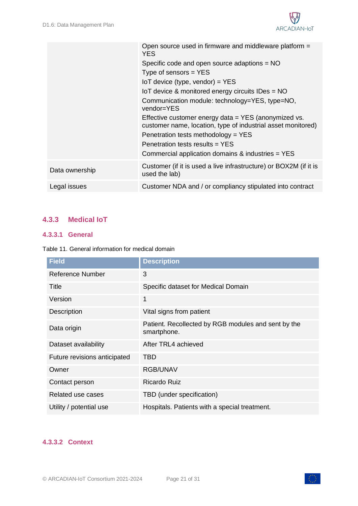

|                | Open source used in firmware and middleware platform =<br><b>YES</b>                                                 |
|----------------|----------------------------------------------------------------------------------------------------------------------|
|                | Specific code and open source adaptions $= NO$                                                                       |
|                | Type of sensors $=$ YES                                                                                              |
|                | $I \circ T$ device (type, vendor) = YES                                                                              |
|                | IoT device & monitored energy circuits IDes = NO                                                                     |
|                | Communication module: technology=YES, type=NO,<br>vendor=YES                                                         |
|                | Effective customer energy data = YES (anonymized vs.<br>customer name, location, type of industrial asset monitored) |
|                | Penetration tests methodology = YES                                                                                  |
|                | Penetration tests results $=$ YES                                                                                    |
|                | Commercial application domains & industries = YES                                                                    |
| Data ownership | Customer (if it is used a live infrastructure) or BOX2M (if it is<br>used the lab)                                   |
| Legal issues   | Customer NDA and / or compliancy stipulated into contract                                                            |
|                |                                                                                                                      |

### <span id="page-20-0"></span>**4.3.3 Medical IoT**

#### **4.3.3.1 General**

<span id="page-20-1"></span>Table 11. General information for medical domain

| <b>Field</b>                 | <b>Description</b>                                                 |
|------------------------------|--------------------------------------------------------------------|
| <b>Reference Number</b>      | 3                                                                  |
| <b>Title</b>                 | Specific dataset for Medical Domain                                |
| Version                      | 1                                                                  |
| Description                  | Vital signs from patient                                           |
| Data origin                  | Patient. Recollected by RGB modules and sent by the<br>smartphone. |
| Dataset availability         | After TRL4 achieved                                                |
| Future revisions anticipated | TBD                                                                |
| Owner                        | <b>RGB/UNAV</b>                                                    |
| Contact person               | <b>Ricardo Ruiz</b>                                                |
| Related use cases            | TBD (under specification)                                          |
| Utility / potential use      | Hospitals. Patients with a special treatment.                      |

#### **4.3.3.2 Context**

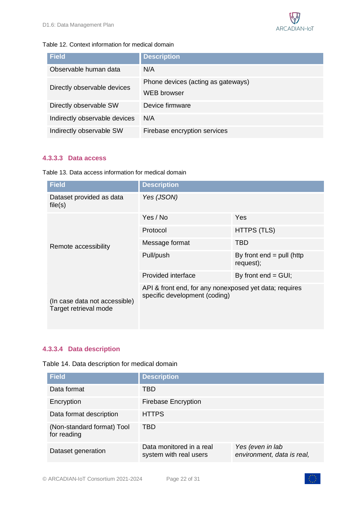

#### <span id="page-21-0"></span>Table 12. Context information for medical domain

| <b>Field</b>                  | <b>Description</b>                                       |
|-------------------------------|----------------------------------------------------------|
| Observable human data         | N/A                                                      |
| Directly observable devices   | Phone devices (acting as gateways)<br><b>WEB</b> browser |
| Directly observable SW        | Device firmware                                          |
| Indirectly observable devices | N/A                                                      |
| Indirectly observable SW      | Firebase encryption services                             |

#### **4.3.3.3 Data access**

<span id="page-21-1"></span>Table 13. Data access information for medical domain

| <b>Field</b>                                           | <b>Description</b>                                                                      |                                          |  |
|--------------------------------------------------------|-----------------------------------------------------------------------------------------|------------------------------------------|--|
| Dataset provided as data<br>file(s)                    | Yes (JSON)                                                                              |                                          |  |
|                                                        | Yes / No                                                                                | Yes                                      |  |
|                                                        | Protocol                                                                                | <b>HTTPS (TLS)</b>                       |  |
| Remote accessibility                                   | Message format                                                                          | <b>TBD</b>                               |  |
|                                                        | Pull/push                                                                               | By front $end = pull$ (http<br>request); |  |
|                                                        | Provided interface                                                                      | By front $end = GUI$ ;                   |  |
| (In case data not accessible)<br>Target retrieval mode | API & front end, for any nonexposed yet data; requires<br>specific development (coding) |                                          |  |

### **4.3.3.4 Data description**

<span id="page-21-2"></span>

|  |  |  | Table 14. Data description for medical domain |  |
|--|--|--|-----------------------------------------------|--|
|--|--|--|-----------------------------------------------|--|

| <b>Field</b>                              | <b>Description</b>                                 |                                                |
|-------------------------------------------|----------------------------------------------------|------------------------------------------------|
| Data format                               | TBD                                                |                                                |
| Encryption                                | <b>Firebase Encryption</b>                         |                                                |
| Data format description                   | <b>HTTPS</b>                                       |                                                |
| (Non-standard format) Tool<br>for reading | TBD                                                |                                                |
| Dataset generation                        | Data monitored in a real<br>system with real users | Yes (even in lab<br>environment, data is real, |

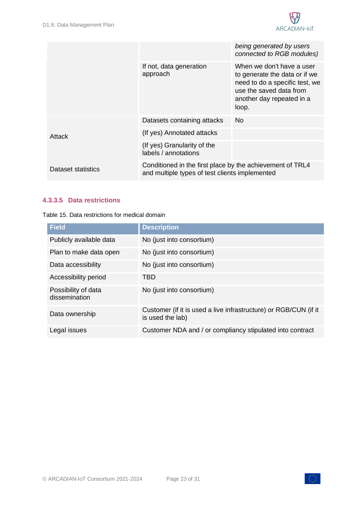

|                    |                                                                                                             | being generated by users<br>connected to RGB modules)                                                                                                         |
|--------------------|-------------------------------------------------------------------------------------------------------------|---------------------------------------------------------------------------------------------------------------------------------------------------------------|
|                    | If not, data generation<br>approach                                                                         | When we don't have a user<br>to generate the data or if we<br>need to do a specific test, we<br>use the saved data from<br>another day repeated in a<br>loop. |
|                    | Datasets containing attacks                                                                                 | No.                                                                                                                                                           |
| Attack             | (If yes) Annotated attacks                                                                                  |                                                                                                                                                               |
|                    | (If yes) Granularity of the<br>labels / annotations                                                         |                                                                                                                                                               |
| Dataset statistics | Conditioned in the first place by the achievement of TRL4<br>and multiple types of test clients implemented |                                                                                                                                                               |

#### **4.3.3.5 Data restrictions**

<span id="page-22-0"></span>

| Table 15. Data restrictions for medical domain |
|------------------------------------------------|
|------------------------------------------------|

| <b>Field</b>                         | <b>Description</b>                                                                   |
|--------------------------------------|--------------------------------------------------------------------------------------|
| Publicly available data              | No (just into consortium)                                                            |
| Plan to make data open               | No (just into consortium)                                                            |
| Data accessibility                   | No (just into consortium)                                                            |
| Accessibility period                 | TBD                                                                                  |
| Possibility of data<br>dissemination | No (just into consortium)                                                            |
| Data ownership                       | Customer (if it is used a live infrastructure) or RGB/CUN (if it<br>is used the lab) |
| Legal issues                         | Customer NDA and / or compliancy stipulated into contract                            |

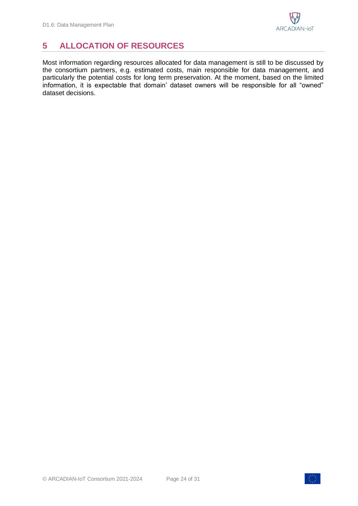## <span id="page-23-0"></span>**5 ALLOCATION OF RESOURCES**

Most information regarding resources allocated for data management is still to be discussed by the consortium partners, e.g. estimated costs, main responsible for data management, and particularly the potential costs for long term preservation. At the moment, based on the limited information, it is expectable that domain' dataset owners will be responsible for all "owned" dataset decisions.

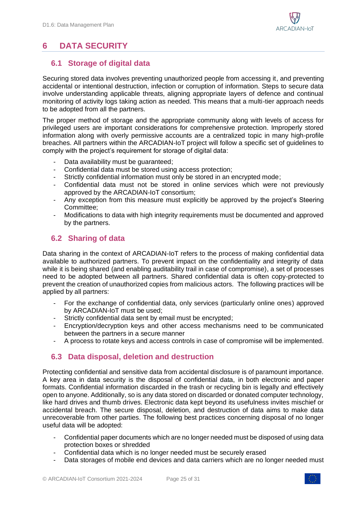## <span id="page-24-0"></span>**6 DATA SECURITY**

### <span id="page-24-1"></span>**6.1 Storage of digital data**

Securing stored data involves preventing unauthorized people from accessing it, and preventing accidental or intentional destruction, infection or corruption of information. Steps to secure data involve understanding applicable threats, aligning appropriate layers of defence and continual monitoring of activity logs taking action as needed. This means that a multi-tier approach needs to be adopted from all the partners.

The proper method of storage and the appropriate community along with levels of access for privileged users are important considerations for comprehensive protection. Improperly stored information along with overly permissive accounts are a centralized topic in many high-profile breaches. All partners within the ARCADIAN-IoT project will follow a specific set of guidelines to comply with the project's requirement for storage of digital data:

- Data availability must be quaranteed;
- Confidential data must be stored using access protection;
- Strictly confidential information must only be stored in an encrypted mode;
- Confidential data must not be stored in online services which were not previously approved by the ARCADIAN-IoT consortium;
- Any exception from this measure must explicitly be approved by the project's Steering Committee;
- Modifications to data with high integrity requirements must be documented and approved by the partners.

### <span id="page-24-2"></span>**6.2 Sharing of data**

Data sharing in the context of ARCADIAN-IoT refers to the process of making confidential data available to authorized partners. To prevent impact on the confidentiality and integrity of data while it is being shared (and enabling auditability trail in case of compromise), a set of processes need to be adopted between all partners. Shared confidential data is often copy-protected to prevent the creation of unauthorized copies from malicious actors. The following practices will be applied by all partners:

- For the exchange of confidential data, only services (particularly online ones) approved by ARCADIAN-IoT must be used;
- Strictly confidential data sent by email must be encrypted;
- Encryption/decryption keys and other access mechanisms need to be communicated between the partners in a secure manner
- A process to rotate keys and access controls in case of compromise will be implemented.

### <span id="page-24-3"></span>**6.3 Data disposal, deletion and destruction**

Protecting confidential and sensitive data from accidental disclosure is of paramount importance. A key area in data security is the disposal of confidential data, in both electronic and paper formats. Confidential information discarded in the trash or recycling bin is legally and effectively open to anyone. Additionally, so is any data stored on discarded or donated computer technology, like hard drives and thumb drives. Electronic data kept beyond its usefulness invites mischief or accidental breach. The secure disposal, deletion, and destruction of data aims to make data unrecoverable from other parties. The following best practices concerning disposal of no longer useful data will be adopted:

- Confidential paper documents which are no longer needed must be disposed of using data protection boxes or shredded
- Confidential data which is no longer needed must be securely erased
- Data storages of mobile end devices and data carriers which are no longer needed must

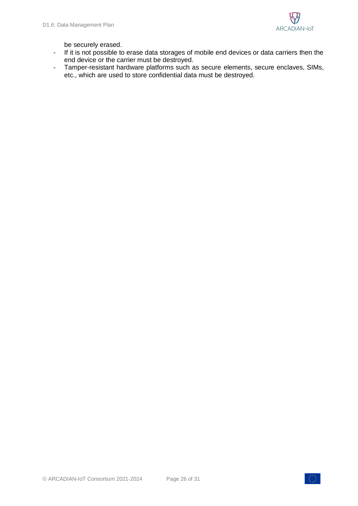

be securely erased.

- If it is not possible to erase data storages of mobile end devices or data carriers then the end device or the carrier must be destroyed.
- Tamper-resistant hardware platforms such as secure elements, secure enclaves, SIMs, etc., which are used to store confidential data must be destroyed.

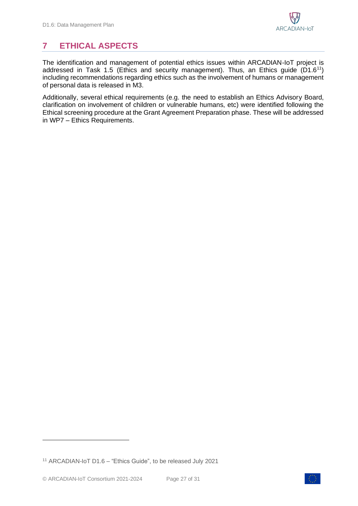## <span id="page-26-0"></span>**7 ETHICAL ASPECTS**

The identification and management of potential ethics issues within ARCADIAN-IoT project is addressed in Task 1.5 (Ethics and security management). Thus, an Ethics guide  $(D1.6<sup>11</sup>)$ including recommendations regarding ethics such as the involvement of humans or management of personal data is released in M3.

Additionally, several ethical requirements (e.g. the need to establish an Ethics Advisory Board, clarification on involvement of children or vulnerable humans, etc) were identified following the Ethical screening procedure at the Grant Agreement Preparation phase. These will be addressed in WP7 – Ethics Requirements.



<sup>11</sup> ARCADIAN-IoT D1.6 – "Ethics Guide", to be released July 2021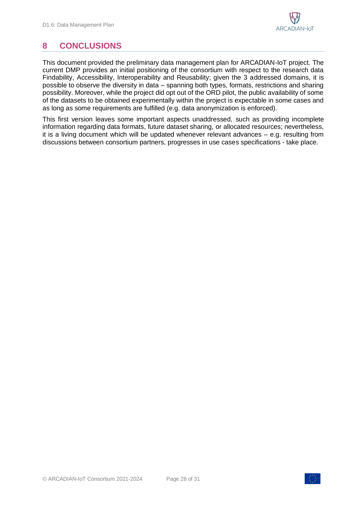## <span id="page-27-0"></span>**8 CONCLUSIONS**

This document provided the preliminary data management plan for ARCADIAN-IoT project. The current DMP provides an initial positioning of the consortium with respect to the research data Findability, Accessibility, Interoperability and Reusability; given the 3 addressed domains, it is possible to observe the diversity in data – spanning both types, formats, restrictions and sharing possibility. Moreover, while the project did opt out of the ORD pilot, the public availability of some of the datasets to be obtained experimentally within the project is expectable in some cases and as long as some requirements are fulfilled (e.g. data anonymization is enforced).

This first version leaves some important aspects unaddressed, such as providing incomplete information regarding data formats, future dataset sharing, or allocated resources; nevertheless, it is a living document which will be updated whenever relevant advances – e.g. resulting from discussions between consortium partners, progresses in use cases specifications - take place.

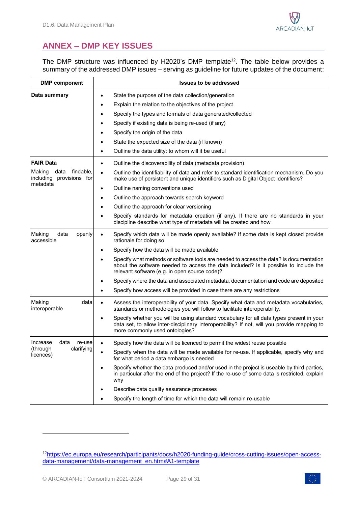

## <span id="page-28-0"></span>**ANNEX – DMP KEY ISSUES**

The DMP structure was influenced by H2020's DMP template<sup>12</sup>. The table below provides a summary of the addressed DMP issues – serving as guideline for future updates of the document:

| <b>DMP</b> component                                    | <b>Issues to be addressed</b>                                                                                                                                                                                                          |  |
|---------------------------------------------------------|----------------------------------------------------------------------------------------------------------------------------------------------------------------------------------------------------------------------------------------|--|
| Data summary                                            | State the purpose of the data collection/generation<br>$\bullet$                                                                                                                                                                       |  |
|                                                         | Explain the relation to the objectives of the project                                                                                                                                                                                  |  |
|                                                         | Specify the types and formats of data generated/collected                                                                                                                                                                              |  |
|                                                         | Specify if existing data is being re-used (if any)                                                                                                                                                                                     |  |
|                                                         | Specify the origin of the data                                                                                                                                                                                                         |  |
|                                                         | State the expected size of the data (if known)                                                                                                                                                                                         |  |
|                                                         | Outline the data utility: to whom will it be useful                                                                                                                                                                                    |  |
| <b>FAIR Data</b>                                        | Outline the discoverability of data (metadata provision)<br>$\bullet$                                                                                                                                                                  |  |
| Making<br>data<br>findable,<br>including provisions for | Outline the identifiability of data and refer to standard identification mechanism. Do you<br>$\bullet$<br>make use of persistent and unique identifiers such as Digital Object Identifiers?                                           |  |
| metadata                                                | Outline naming conventions used<br>$\bullet$                                                                                                                                                                                           |  |
|                                                         | Outline the approach towards search keyword                                                                                                                                                                                            |  |
|                                                         | Outline the approach for clear versioning                                                                                                                                                                                              |  |
|                                                         | Specify standards for metadata creation (if any). If there are no standards in your<br>discipline describe what type of metadata will be created and how                                                                               |  |
| Making<br>data<br>openly<br>accessible                  | Specify which data will be made openly available? If some data is kept closed provide<br>$\bullet$<br>rationale for doing so                                                                                                           |  |
|                                                         | Specify how the data will be made available<br>٠                                                                                                                                                                                       |  |
|                                                         | Specify what methods or software tools are needed to access the data? Is documentation<br>about the software needed to access the data included? Is it possible to include the<br>relevant software (e.g. in open source code)?        |  |
|                                                         | Specify where the data and associated metadata, documentation and code are deposited                                                                                                                                                   |  |
|                                                         | Specify how access will be provided in case there are any restrictions                                                                                                                                                                 |  |
| Making<br>data<br>interoperable                         | Assess the interoperability of your data. Specify what data and metadata vocabularies,<br>$\bullet$<br>standards or methodologies you will follow to facilitate interoperability.                                                      |  |
|                                                         | Specify whether you will be using standard vocabulary for all data types present in your<br>$\bullet$<br>data set, to allow inter-disciplinary interoperability? If not, will you provide mapping to<br>more commonly used ontologies? |  |
| data<br>Increase<br>re-use                              | Specify how the data will be licenced to permit the widest reuse possible                                                                                                                                                              |  |
| (through<br>claritying<br>licences)                     | Specify when the data will be made available for re-use. If applicable, specify why and<br>for what period a data embargo is needed                                                                                                    |  |
|                                                         | Specify whether the data produced and/or used in the project is useable by third parties,<br>in particular after the end of the project? If the re-use of some data is restricted, explain<br>why                                      |  |
|                                                         | Describe data quality assurance processes                                                                                                                                                                                              |  |
|                                                         | Specify the length of time for which the data will remain re-usable                                                                                                                                                                    |  |



<sup>12</sup>[https://ec.europa.eu/research/participants/docs/h2020-funding-guide/cross-cutting-issues/open-access](https://ec.europa.eu/research/participants/docs/h2020-funding-guide/cross-cutting-issues/open-access-data-management/data-management_en.htm#A1-template)[data-management/data-management\\_en.htm#A1-template](https://ec.europa.eu/research/participants/docs/h2020-funding-guide/cross-cutting-issues/open-access-data-management/data-management_en.htm#A1-template)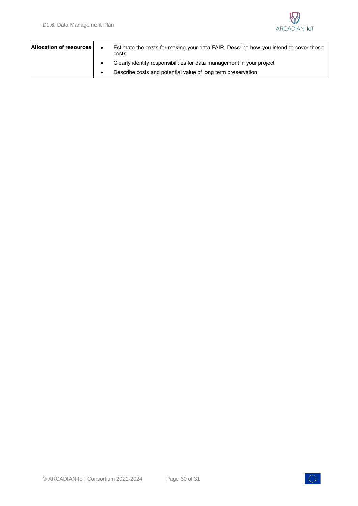

| Allocation of resources | Estimate the costs for making your data FAIR. Describe how you intend to cover these<br>costs |
|-------------------------|-----------------------------------------------------------------------------------------------|
|                         | Clearly identify responsibilities for data management in your project                         |
|                         | Describe costs and potential value of long term preservation                                  |